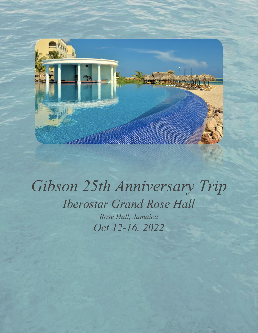

# *Gibson 25th Anniversary Trip Iberostar Grand Rose Hall Rose Hall, Jamaica Oct 12-16, 2022*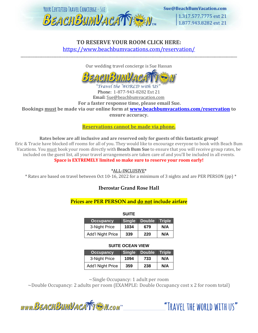

# **TO RESERVE YOUR ROOM CLICK HERE:** <https://www.beachbumvacations.com/reservation/>

Our wedding travel concierge is Sue Hassan

\_\_\_\_\_\_\_\_\_\_\_\_\_\_\_\_\_\_\_\_\_\_\_\_\_\_\_\_\_\_\_\_\_\_\_\_\_\_\_\_\_\_\_\_\_\_\_\_\_\_\_\_\_\_\_\_\_\_\_\_\_\_\_\_\_\_\_\_\_\_\_\_\_\_\_\_\_\_\_\_\_\_\_\_\_\_\_\_\_\_\_\_\_\_\_\_\_\_\_\_\_\_\_\_\_\_\_\_\_\_\_\_\_\_\_\_\_\_\_\_\_\_\_\_\_\_

#### Travel the WORLD with US Phone: 1-877-943-8282 Ext 21 Email: Sue@beachbumvacation.com **For a faster response time, please email Sue. Bookings must be made via our online form at [www.beachbumvacations.com/reservation](http://www.beachbumvacations.com/reservation) to**

**ensure accuracy.** 

**Reservations cannot be made via phone.**

**Rates below are all inclusive and are reserved only for guests of this fantastic group!**

Eric & Tracie have blocked off rooms for all of you. They would like to encourage everyone to book with Beach Bum Vacations. You must book your room directly with **Beach Bum Sue** to ensure that you will receive group rates, be included on the guest list, all your travel arrangements are taken care of and you'll be included in all events. **Space is EXTREMELY limited so make sure to reserve your room early!**

\*ALL-INCLUSIVE\*

\* Rates are based on travel between Oct 10-16, 2022 for a minimum of 3 nights and are PER PERSON (pp) \*

# **Iberostar Grand Rose Hall**

# **Prices are PER PERSON and do not include airfare**

| <b>SUITE</b>      |               |        |               |  |
|-------------------|---------------|--------|---------------|--|
| <b>Occupancy</b>  | <b>Single</b> | Double | <b>Triple</b> |  |
| 3-Night Price     | 1034          | 679    | N/A           |  |
| Add'l Night Price | 339           | 220    | N/A           |  |

## **SUITE OCEAN VIEW**

| Occupancy.        | <b>Single</b> | Double | <b>Triple</b> |
|-------------------|---------------|--------|---------------|
| 3-Night Price     | 1094          | 733    | N/A           |
| Add'l Night Price | 359           | 238    | N/A           |

~Single Occupancy: 1 adult per room

~Double Occupancy: 2 adults per room (EXAMPLE: Double Occupancy cost x 2 for room total)

"TRAVEL THE WORLD WITH US"

www.BEACHBUMVACATTEM.com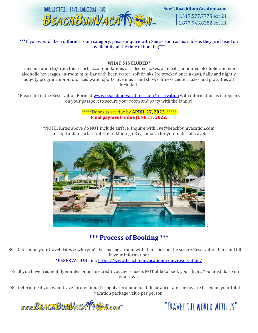

Sue@BeachBumVacation.com

1.317.577.7775 ext 21 1.877.943.8282 ext 21

\*\*\*If you would like a different room category, please inquire with Sue as soon as possible as they are based on availability at the time of booking\*\*\*

#### **WHAT'S INCLUDED?**

Transportation to/from the resort, accommodations as selected, taxes, all meals, unlimited alcoholic and nonalcoholic beverages, in-room mini-bar with beer, water, soft drinks (re-stocked once a day), daily and nightly activity program, non-motorized water sports, live music and shows, fitness center, taxes and gratuities all included.

\*Please fill in the Reservation Form at [www.beachbumvacations.com/reservation](http://www.beachbumvacations.com/reservation) with information as it appears on your passport to secure your room and party with the family!

> \*\*\*\*\*Deposits are due by **APRIL 27, 2022**. \*\*\*\*\* **Final payment is due JUNE 17, 2022.**

\*NOTE: Rates above do NOT include airfare. Inquire with Sue@beachbumvacation.com for up-to-date airfare rates into Montego Bay, Jamaica for your dates of travel.



# **\*\*\* Process of Booking** \*\*\*

- Determine your travel dates & who you'll be sharing a room with then click on the secure Reservation Link and fill in your information: \*RESERVATION link:<https://www.beachbumvacations.com/reservation/>
- ❖ If you have frequent flyer miles or airline credit vouchers Sue is NOT able to book your flight. You must do so on your own.
- ❖ Determine if you want travel protection. It's highly recommended! Insurance rates below are based on your total vacation package value per person.



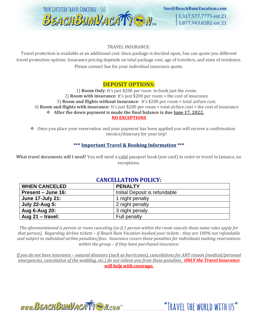

Sue@BeachBumVacation.com 1.317.577.7775 ext 21

1.877.943.8282 ext 21

#### TRAVEL INSURANCE:

Travel protection is available at an additional cost. Once package is decided upon, Sue can quote you different travel protection options. Insurance pricing depends on total package cost, age of travelers, and state of residence. Please contact Sue for your individual insurance quote.

# **DEPOSIT OPTIONS:**

1) **Room Only**: It's just \$200 *per room* to book just the room. 2) **Room with insurance**: It's just \$200 per room + the cost of insurance 3) **Room and flights without insurance**: It's \$200 per room + total airfare cost. 4) **Room and flights with insurance**: It's just \$200 per room + total airfare cost + the cost of insurance ❖ **After the down payment is made the final balance is due June 17, 2022. NO EXCEPTIONS**

❖ Once you place your reservation and your payment has been applied you will receive a confirmation invoice/itinerary for your trip!

## **\*\*\* Important Travel & Booking Information \*\*\***

What travel documents will I need? You will need a valid passport book (not card) in order to travel to Jamaica, no exceptions.

# **CANCELLATION POLICY:**

| <b>WHEN CANCELED</b>    | <b>PENALTY</b>                |  |
|-------------------------|-------------------------------|--|
| Present – June 16:      | Initial Deposit is refundable |  |
| <b>June 17-July 21:</b> | 1 night penalty               |  |
| <b>July 22-Aug 5:</b>   | 2 night penalty               |  |
| Aug 6-Aug 20:           | 3 night penaly                |  |
| Aug $21 -$ travel:      | Full penalty                  |  |

*The aforementioned is person or room canceling (so if 1 person within the room cancels these same rules apply for that person). Regarding Airline tickets – if Beach Bum Vacation booked your tickets - they are 100% not refundable and subject to individual airline penalties/fees. Insurance covers these penalties for individuals making reservations within the group – if they have purchased insurance.* 

*If you do not have insurance – natural disasters (such as hurricanes), cancelations for ANY reason (medical/personal emergencies, cancelation of the wedding, etc.) do not relieve you from these penalties. ONLY the Travel Insurance will help with coverage.*



"TRAVEL THE WORLD WITH US"